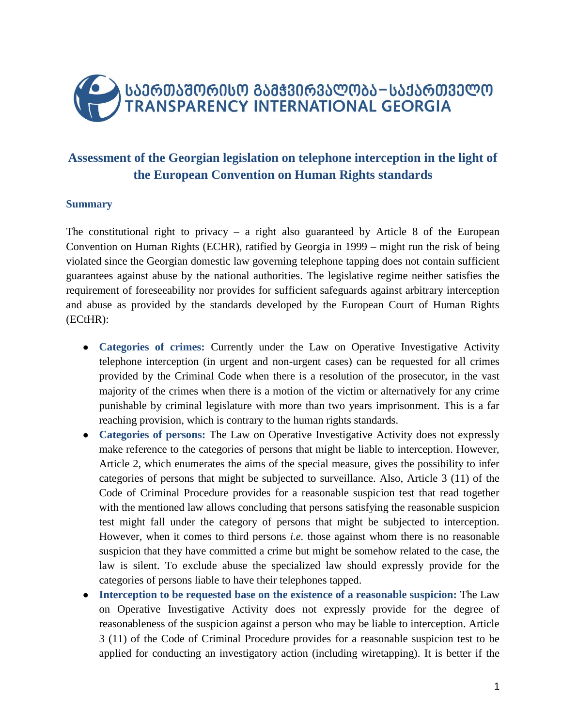

# **Assessment of the Georgian legislation on telephone interception in the light of the European Convention on Human Rights standards**

## **Summary**

The constitutional right to privacy – a right also guaranteed by Article 8 of the European Convention on Human Rights (ECHR), ratified by Georgia in 1999 – might run the risk of being violated since the Georgian domestic law governing telephone tapping does not contain sufficient guarantees against abuse by the national authorities. The legislative regime neither satisfies the requirement of foreseeability nor provides for sufficient safeguards against arbitrary interception and abuse as provided by the standards developed by the European Court of Human Rights (ECtHR):

- **Categories of crimes:** Currently under the Law on Operative Investigative Activity telephone interception (in urgent and non-urgent cases) can be requested for all crimes provided by the Criminal Code when there is a resolution of the prosecutor, in the vast majority of the crimes when there is a motion of the victim or alternatively for any crime punishable by criminal legislature with more than two years imprisonment. This is a far reaching provision, which is contrary to the human rights standards.
- **Categories of persons:** The Law on Operative Investigative Activity does not expressly make reference to the categories of persons that might be liable to interception. However, Article 2, which enumerates the aims of the special measure, gives the possibility to infer categories of persons that might be subjected to surveillance. Also, Article 3 (11) of the Code of Criminal Procedure provides for a reasonable suspicion test that read together with the mentioned law allows concluding that persons satisfying the reasonable suspicion test might fall under the category of persons that might be subjected to interception. However, when it comes to third persons *i.e.* those against whom there is no reasonable suspicion that they have committed a crime but might be somehow related to the case, the law is silent. To exclude abuse the specialized law should expressly provide for the categories of persons liable to have their telephones tapped.
- **Interception to be requested base on the existence of a reasonable suspicion:** The Law on Operative Investigative Activity does not expressly provide for the degree of reasonableness of the suspicion against a person who may be liable to interception. Article 3 (11) of the Code of Criminal Procedure provides for a reasonable suspicion test to be applied for conducting an investigatory action (including wiretapping). It is better if the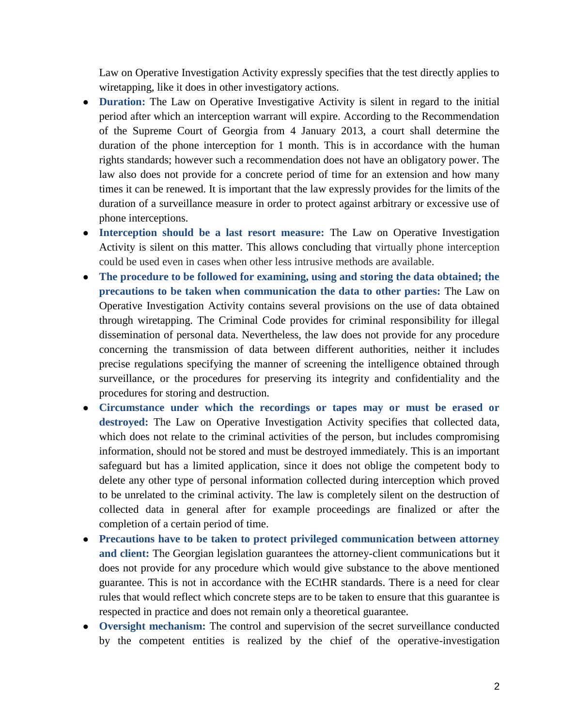Law on Operative Investigation Activity expressly specifies that the test directly applies to wiretapping, like it does in other investigatory actions.

- **Duration:** The Law on Operative Investigative Activity is silent in regard to the initial period after which an interception warrant will expire. According to the Recommendation of the Supreme Court of Georgia from 4 January 2013, a court shall determine the duration of the phone interception for 1 month. This is in accordance with the human rights standards; however such a recommendation does not have an obligatory power. The law also does not provide for a concrete period of time for an extension and how many times it can be renewed. It is important that the law expressly provides for the limits of the duration of a surveillance measure in order to protect against arbitrary or excessive use of phone interceptions.
- **Interception should be a last resort measure:** The Law on Operative Investigation Activity is silent on this matter. This allows concluding that virtually phone interception could be used even in cases when other less intrusive methods are available.
- **The procedure to be followed for examining, using and storing the data obtained; the precautions to be taken when communication the data to other parties:** The Law on Operative Investigation Activity contains several provisions on the use of data obtained through wiretapping. The Criminal Code provides for criminal responsibility for illegal dissemination of personal data. Nevertheless, the law does not provide for any procedure concerning the transmission of data between different authorities, neither it includes precise regulations specifying the manner of screening the intelligence obtained through surveillance, or the procedures for preserving its integrity and confidentiality and the procedures for storing and destruction.
- **Circumstance under which the recordings or tapes may or must be erased or destroyed:** The Law on Operative Investigation Activity specifies that collected data, which does not relate to the criminal activities of the person, but includes compromising information, should not be stored and must be destroyed immediately. This is an important safeguard but has a limited application, since it does not oblige the competent body to delete any other type of personal information collected during interception which proved to be unrelated to the criminal activity. The law is completely silent on the destruction of collected data in general after for example proceedings are finalized or after the completion of a certain period of time.
- **Precautions have to be taken to protect privileged communication between attorney and client:** The Georgian legislation guarantees the attorney-client communications but it does not provide for any procedure which would give substance to the above mentioned guarantee. This is not in accordance with the ECtHR standards. There is a need for clear rules that would reflect which concrete steps are to be taken to ensure that this guarantee is respected in practice and does not remain only a theoretical guarantee.
- **Oversight mechanism:** The control and supervision of the secret surveillance conducted by the competent entities is realized by the chief of the operative-investigation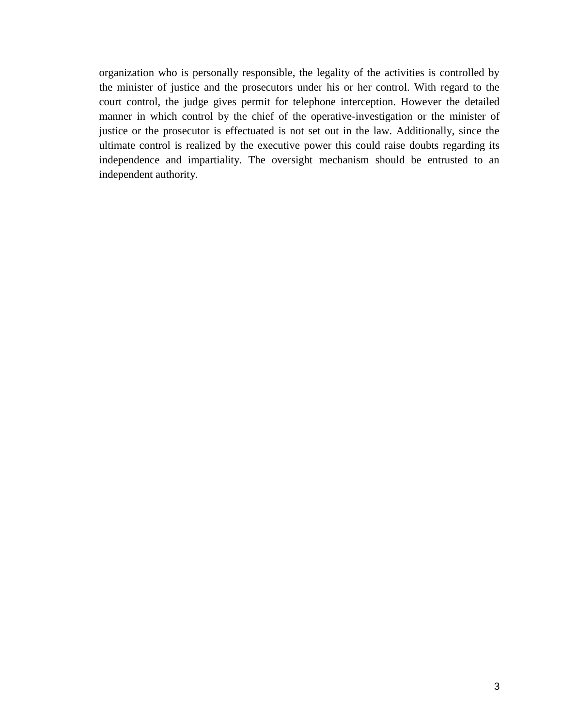organization who is personally responsible, the legality of the activities is controlled by the minister of justice and the prosecutors under his or her control. With regard to the court control, the judge gives permit for telephone interception. However the detailed manner in which control by the chief of the operative-investigation or the minister of justice or the prosecutor is effectuated is not set out in the law. Additionally, since the ultimate control is realized by the executive power this could raise doubts regarding its independence and impartiality. The oversight mechanism should be entrusted to an independent authority.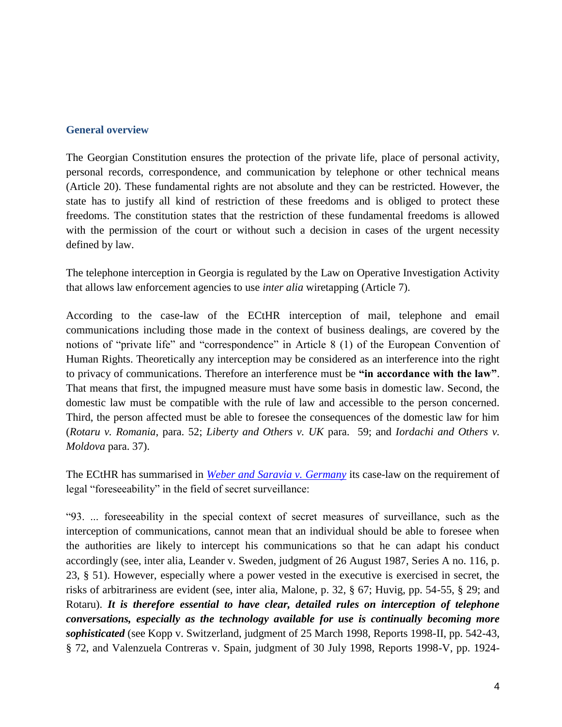#### **General overview**

The Georgian Constitution ensures the protection of the private life, place of personal activity, personal records, correspondence, and communication by telephone or other technical means (Article 20). These fundamental rights are not absolute and they can be restricted. However, the state has to justify all kind of restriction of these freedoms and is obliged to protect these freedoms. The constitution states that the restriction of these fundamental freedoms is allowed with the permission of the court or without such a decision in cases of the urgent necessity defined by law.

The telephone interception in Georgia is regulated by the Law on Operative Investigation Activity that allows law enforcement agencies to use *inter alia* wiretapping (Article 7).

According to the case-law of the ECtHR interception of mail, telephone and email communications including those made in the context of business dealings, are covered by the notions of "private life" and "correspondence" in Article 8 (1) of the European Convention of Human Rights. Theoretically any interception may be considered as an interference into the right to privacy of communications. Therefore an interference must be **"in accordance with the law"**. That means that first, the impugned measure must have some basis in domestic law. Second, the domestic law must be compatible with the rule of law and accessible to the person concerned. Third, the person affected must be able to foresee the consequences of the domestic law for him (*Rotaru v. Romania*, para. 52; *Liberty and Others v. UK* para. 59; and *Iordachi and Others v. Moldova* para. 37).

The ECtHR has summarised in *[Weber and Saravia v. Germany](http://hudoc.echr.coe.int/sites/eng/Pages/search.aspx#{%22fulltext%22:[%22Weber%20and%20Saravia%20v.%20Spain%22],%22documentcollectionid2%22:[%22GRANDCHAMBER%22,%22CHAMBER%22,%22DECISIONS%22],%22itemid%22:[%22001-76586%22]})* its case-law on the requirement of legal "foreseeability" in the field of secret surveillance:

"93. ... foreseeability in the special context of secret measures of surveillance, such as the interception of communications, cannot mean that an individual should be able to foresee when the authorities are likely to intercept his communications so that he can adapt his conduct accordingly (see, inter alia, Leander v. Sweden, judgment of 26 August 1987, Series A no. 116, p. 23, § 51). However, especially where a power vested in the executive is exercised in secret, the risks of arbitrariness are evident (see, inter alia, Malone, p. 32, § 67; Huvig, pp. 54-55, § 29; and Rotaru). *It is therefore essential to have clear, detailed rules on interception of telephone conversations, especially as the technology available for use is continually becoming more sophisticated* (see Kopp v. Switzerland, judgment of 25 March 1998, Reports 1998-II, pp. 542-43, § 72, and Valenzuela Contreras v. Spain, judgment of 30 July 1998, Reports 1998-V, pp. 1924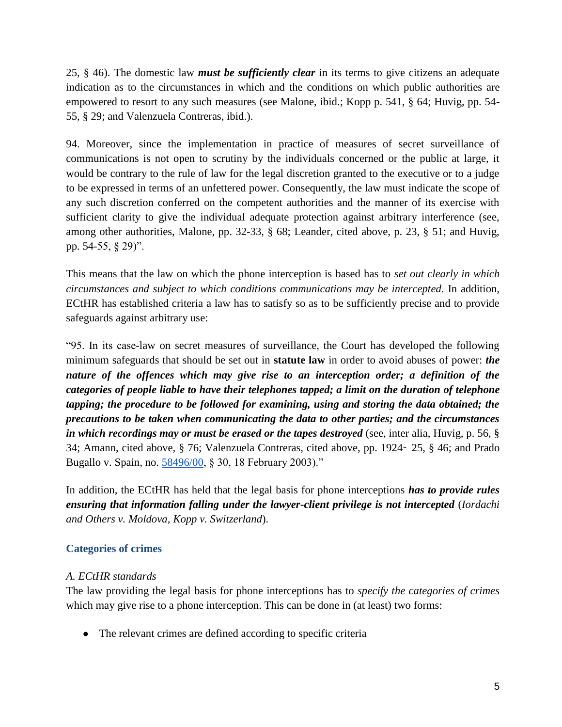25, § 46). The domestic law *must be sufficiently clear* in its terms to give citizens an adequate indication as to the circumstances in which and the conditions on which public authorities are empowered to resort to any such measures (see Malone, ibid.; Kopp p. 541, § 64; Huvig, pp. 54- 55, § 29; and Valenzuela Contreras, ibid.).

94. Moreover, since the implementation in practice of measures of secret surveillance of communications is not open to scrutiny by the individuals concerned or the public at large, it would be contrary to the rule of law for the legal discretion granted to the executive or to a judge to be expressed in terms of an unfettered power. Consequently, the law must indicate the scope of any such discretion conferred on the competent authorities and the manner of its exercise with sufficient clarity to give the individual adequate protection against arbitrary interference (see, among other authorities, Malone, pp. 32-33, § 68; Leander, cited above, p. 23, § 51; and Huvig, pp. 54-55, § 29)".

This means that the law on which the phone interception is based has to *set out clearly in which circumstances and subject to which conditions communications may be intercepted*. In addition, ECtHR has established criteria a law has to satisfy so as to be sufficiently precise and to provide safeguards against arbitrary use:

"95. In its case-law on secret measures of surveillance, the Court has developed the following minimum safeguards that should be set out in **statute law** in order to avoid abuses of power: *the nature of the offences which may give rise to an interception order; a definition of the categories of people liable to have their telephones tapped; a limit on the duration of telephone tapping; the procedure to be followed for examining, using and storing the data obtained; the precautions to be taken when communicating the data to other parties; and the circumstances in which recordings may or must be erased or the tapes destroyed* (see, inter alia, Huvig, p. 56, § 34; Amann, cited above, § 76; Valenzuela Contreras, cited above, pp. 1924‑ 25, § 46; and Prado Bugallo v. Spain, no. [58496/00,](http://hudoc.echr.coe.int/sites/eng/pages/search.aspx#%7B%22appno%22:[%2258496/00%22]%7D) § 30, 18 February 2003)."

In addition, the ECtHR has held that the legal basis for phone interceptions *has to provide rules ensuring that information falling under the lawyer-client privilege is not intercepted* (*Iordachi and Others v. Moldova, Kopp v. Switzerland*).

## **Categories of crimes**

## *A. ECtHR standards*

The law providing the legal basis for phone interceptions has to *specify the categories of crimes* which may give rise to a phone interception. This can be done in (at least) two forms:

● The relevant crimes are defined according to specific criteria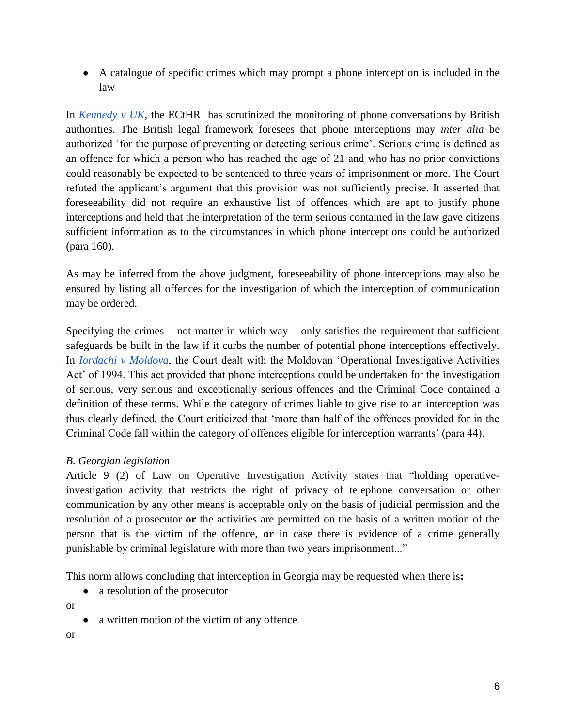● A catalogue of specific crimes which may prompt a phone interception is included in the law

In *[Kennedy v UK](http://hudoc.echr.coe.int/sites/eng/pages/search.aspx?i=001-98473)*, the ECtHR has scrutinized the monitoring of phone conversations by British authorities. The British legal framework foresees that phone interceptions may *inter alia* be authorized 'for the purpose of preventing or detecting serious crime'. Serious crime is defined as an offence for which a person who has reached the age of 21 and who has no prior convictions could reasonably be expected to be sentenced to three years of imprisonment or more. The Court refuted the applicant's argument that this provision was not sufficiently precise. It asserted that foreseeability did not require an exhaustive list of offences which are apt to justify phone interceptions and held that the interpretation of the term serious contained in the law gave citizens sufficient information as to the circumstances in which phone interceptions could be authorized (para 160).

As may be inferred from the above judgment, foreseeability of phone interceptions may also be ensured by listing all offences for the investigation of which the interception of communication may be ordered.

Specifying the crimes – not matter in which way – only satisfies the requirement that sufficient safeguards be built in the law if it curbs the number of potential phone interceptions effectively. I[n](http://hudoc.echr.coe.int/sites/eng/pages/search.aspx?i=001-91245) *[Iordachi v Moldova](http://hudoc.echr.coe.int/sites/eng/pages/search.aspx?i=001-91245)*, the Court dealt with the Moldovan 'Operational Investigative Activities Act' of 1994. This act provided that phone interceptions could be undertaken for the investigation of serious, very serious and exceptionally serious offences and the Criminal Code contained a definition of these terms. While the category of crimes liable to give rise to an interception was thus clearly defined, the Court criticized that 'more than half of the offences provided for in the Criminal Code fall within the category of offences eligible for interception warrants' (para 44).

## *B. Georgian legislation*

Article 9 (2) of Law on Operative Investigation Activity states that "holding operativeinvestigation activity that restricts the right of privacy of telephone conversation or other communication by any other means is acceptable only on the basis of judicial permission and the resolution of a prosecutor **or** the activities are permitted on the basis of a written motion of the person that is the victim of the offence, **or** in case there is evidence of a crime generally punishable by criminal legislature with more than two years imprisonment..."

This norm allows concluding that interception in Georgia may be requested when there is**:**

• a resolution of the prosecutor

or

- a written motion of the victim of any offence
- or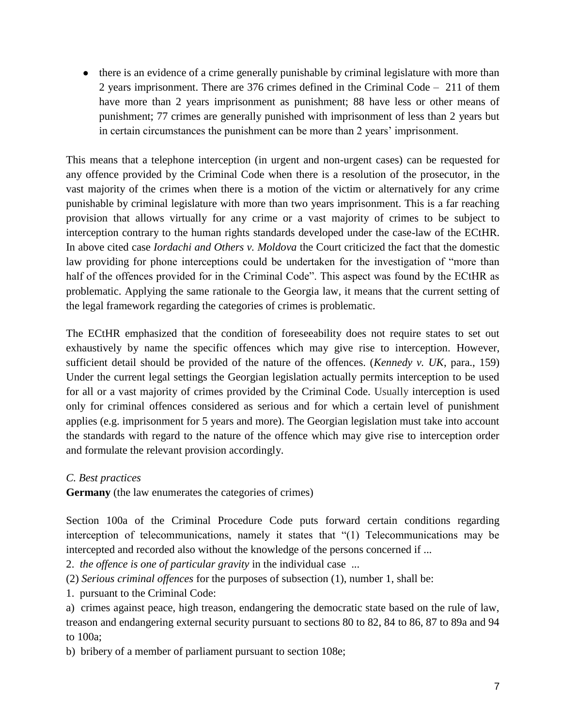• there is an evidence of a crime generally punishable by criminal legislature with more than 2 years imprisonment. There are 376 crimes defined in the Criminal Code – 211 of them have more than 2 years imprisonment as punishment; 88 have less or other means of punishment; 77 crimes are generally punished with imprisonment of less than 2 years but in certain circumstances the punishment can be more than 2 years' imprisonment.

This means that a telephone interception (in urgent and non-urgent cases) can be requested for any offence provided by the Criminal Code when there is a resolution of the prosecutor, in the vast majority of the crimes when there is a motion of the victim or alternatively for any crime punishable by criminal legislature with more than two years imprisonment. This is a far reaching provision that allows virtually for any crime or a vast majority of crimes to be subject to interception contrary to the human rights standards developed under the case-law of the ECtHR. In above cited case *Iordachi and Others v. Moldova* the Court criticized the fact that the domestic law providing for phone interceptions could be undertaken for the investigation of "more than half of the offences provided for in the Criminal Code". This aspect was found by the ECtHR as problematic. Applying the same rationale to the Georgia law, it means that the current setting of the legal framework regarding the categories of crimes is problematic.

The ECtHR emphasized that the condition of foreseeability does not require states to set out exhaustively by name the specific offences which may give rise to interception. However, sufficient detail should be provided of the nature of the offences. (*Kennedy v. UK*, para., 159) Under the current legal settings the Georgian legislation actually permits interception to be used for all or a vast majority of crimes provided by the Criminal Code. Usually interception is used only for criminal offences considered as serious and for which a certain level of punishment applies (e.g. imprisonment for 5 years and more). The Georgian legislation must take into account the standards with regard to the nature of the offence which may give rise to interception order and formulate the relevant provision accordingly.

## *C. Best practices*

**Germany** (the law enumerates the categories of crimes)

Section 100a of the Criminal Procedure Code puts forward certain conditions regarding interception of telecommunications, namely it states that "(1) Telecommunications may be intercepted and recorded also without the knowledge of the persons concerned if ...

2. *the offence is one of particular gravity* in the individual case ...

(2) *Serious criminal offences* for the purposes of subsection (1), number 1, shall be:

- 1. pursuant to the Criminal Code:
- a) crimes against peace, high treason, endangering the democratic state based on the rule of law, treason and endangering external security pursuant to sections 80 to 82, 84 to 86, 87 to 89a and 94 to 100a;

b) bribery of a member of parliament pursuant to section 108e;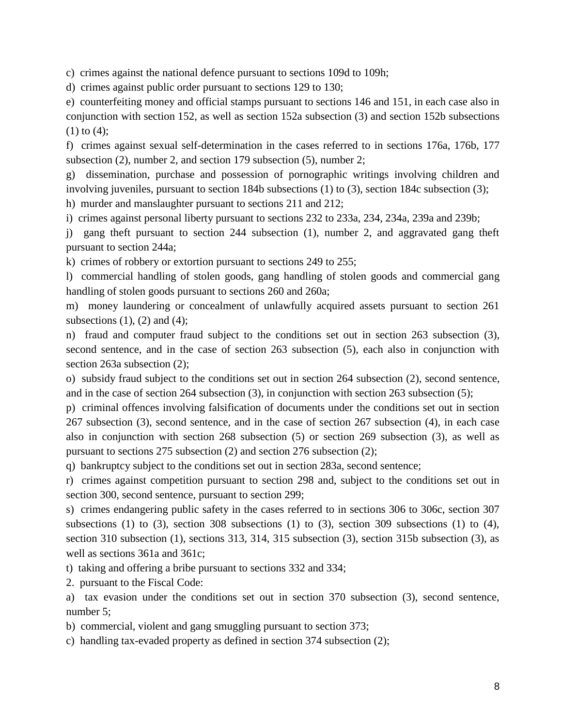c) crimes against the national defence pursuant to sections 109d to 109h;

d) crimes against public order pursuant to sections 129 to 130;

e) counterfeiting money and official stamps pursuant to sections 146 and 151, in each case also in conjunction with section 152, as well as section 152a subsection (3) and section 152b subsections  $(1)$  to  $(4)$ ;

f) crimes against sexual self-determination in the cases referred to in sections 176a, 176b, 177 subsection (2), number 2, and section 179 subsection (5), number 2;

g) dissemination, purchase and possession of pornographic writings involving children and involving juveniles, pursuant to section 184b subsections (1) to (3), section 184c subsection (3);

h) murder and manslaughter pursuant to sections 211 and 212;

i) crimes against personal liberty pursuant to sections 232 to 233a, 234, 234a, 239a and 239b;

j) gang theft pursuant to section 244 subsection (1), number 2, and aggravated gang theft pursuant to section 244a;

k) crimes of robbery or extortion pursuant to sections 249 to 255;

l) commercial handling of stolen goods, gang handling of stolen goods and commercial gang handling of stolen goods pursuant to sections 260 and 260a;

m) money laundering or concealment of unlawfully acquired assets pursuant to section 261 subsections  $(1)$ ,  $(2)$  and  $(4)$ ;

n) fraud and computer fraud subject to the conditions set out in section 263 subsection (3), second sentence, and in the case of section 263 subsection (5), each also in conjunction with section 263a subsection (2);

o) subsidy fraud subject to the conditions set out in section 264 subsection (2), second sentence, and in the case of section 264 subsection (3), in conjunction with section 263 subsection (5);

p) criminal offences involving falsification of documents under the conditions set out in section 267 subsection (3), second sentence, and in the case of section 267 subsection (4), in each case also in conjunction with section 268 subsection (5) or section 269 subsection (3), as well as pursuant to sections 275 subsection (2) and section 276 subsection (2);

q) bankruptcy subject to the conditions set out in section 283a, second sentence;

r) crimes against competition pursuant to section 298 and, subject to the conditions set out in section 300, second sentence, pursuant to section 299;

s) crimes endangering public safety in the cases referred to in sections 306 to 306c, section 307 subsections (1) to (3), section 308 subsections (1) to (3), section 309 subsections (1) to (4), section 310 subsection (1), sections 313, 314, 315 subsection (3), section 315b subsection (3), as well as sections 361a and 361c;

t) taking and offering a bribe pursuant to sections 332 and 334;

2. pursuant to the Fiscal Code:

a) tax evasion under the conditions set out in section 370 subsection (3), second sentence, number 5;

b) commercial, violent and gang smuggling pursuant to section 373;

c) handling tax-evaded property as defined in section 374 subsection (2);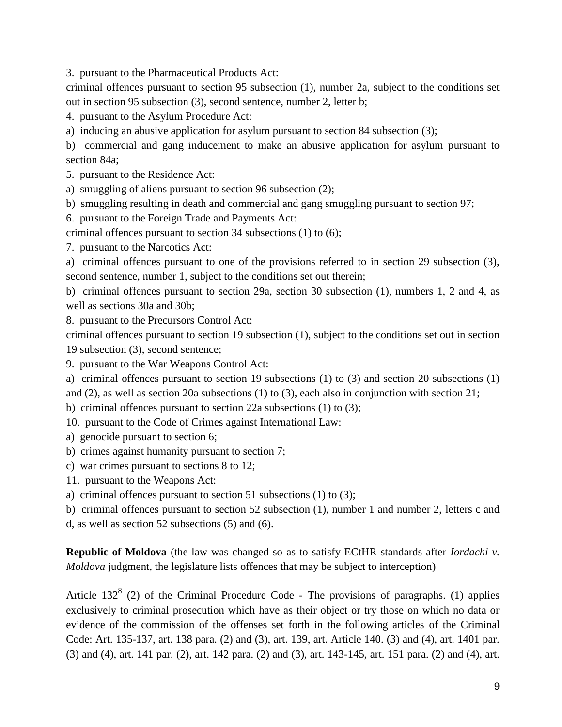3. pursuant to the Pharmaceutical Products Act:

criminal offences pursuant to section 95 subsection (1), number 2a, subject to the conditions set out in section 95 subsection (3), second sentence, number 2, letter b;

4. pursuant to the Asylum Procedure Act:

a) inducing an abusive application for asylum pursuant to section 84 subsection (3);

b) commercial and gang inducement to make an abusive application for asylum pursuant to section 84a;

5. pursuant to the Residence Act:

a) smuggling of aliens pursuant to section 96 subsection (2);

b) smuggling resulting in death and commercial and gang smuggling pursuant to section 97;

6. pursuant to the Foreign Trade and Payments Act:

criminal offences pursuant to section 34 subsections (1) to (6);

7. pursuant to the Narcotics Act:

a) criminal offences pursuant to one of the provisions referred to in section 29 subsection (3), second sentence, number 1, subject to the conditions set out therein;

b) criminal offences pursuant to section 29a, section 30 subsection (1), numbers 1, 2 and 4, as well as sections 30a and 30b;

8. pursuant to the Precursors Control Act:

criminal offences pursuant to section 19 subsection (1), subject to the conditions set out in section 19 subsection (3), second sentence;

9. pursuant to the War Weapons Control Act:

a) criminal offences pursuant to section 19 subsections (1) to (3) and section 20 subsections (1) and (2), as well as section 20a subsections (1) to (3), each also in conjunction with section 21;

b) criminal offences pursuant to section 22a subsections (1) to (3);

10. pursuant to the Code of Crimes against International Law:

- a) genocide pursuant to section 6;
- b) crimes against humanity pursuant to section 7;
- c) war crimes pursuant to sections 8 to 12;
- 11. pursuant to the Weapons Act:
- a) criminal offences pursuant to section 51 subsections (1) to (3);

b) criminal offences pursuant to section 52 subsection (1), number 1 and number 2, letters c and

d, as well as section 52 subsections (5) and (6).

**Republic of Moldova** (the law was changed so as to satisfy ECtHR standards after *Iordachi v. Moldova* judgment, the legislature lists offences that may be subject to interception)

Article 132<sup>8</sup> (2) of the Criminal Procedure Code - The provisions of paragraphs. (1) applies exclusively to criminal prosecution which have as their object or try those on which no data or evidence of the commission of the offenses set forth in the following articles of the Criminal Code: Art. 135-137, art. 138 para. (2) and (3), art. 139, art. Article 140. (3) and (4), art. 1401 par. (3) and (4), art. 141 par. (2), art. 142 para. (2) and (3), art. 143-145, art. 151 para. (2) and (4), art.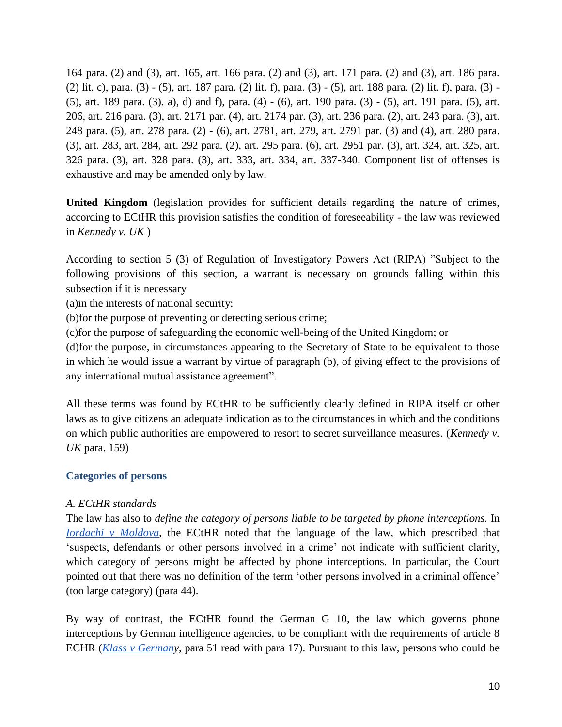164 para. (2) and (3), art. 165, art. 166 para. (2) and (3), art. 171 para. (2) and (3), art. 186 para. (2) lit. c), para. (3) - (5), art. 187 para. (2) lit. f), para. (3) - (5), art. 188 para. (2) lit. f), para. (3) - (5), art. 189 para. (3). a), d) and f), para. (4) - (6), art. 190 para. (3) - (5), art. 191 para. (5), art. 206, art. 216 para. (3), art. 2171 par. (4), art. 2174 par. (3), art. 236 para. (2), art. 243 para. (3), art. 248 para. (5), art. 278 para. (2) - (6), art. 2781, art. 279, art. 2791 par. (3) and (4), art. 280 para. (3), art. 283, art. 284, art. 292 para. (2), art. 295 para. (6), art. 2951 par. (3), art. 324, art. 325, art. 326 para. (3), art. 328 para. (3), art. 333, art. 334, art. 337-340. Component list of offenses is exhaustive and may be amended only by law.

**United Kingdom** (legislation provides for sufficient details regarding the nature of crimes, according to ECtHR this provision satisfies the condition of foreseeability - the law was reviewed in *Kennedy v. UK* )

According to section 5 (3) of Regulation of Investigatory Powers Act (RIPA) "Subject to the following provisions of this section, a warrant is necessary on grounds falling within this subsection if it is necessary

(a)in the interests of national security;

(b)for the purpose of preventing or detecting serious crime;

(c)for the purpose of safeguarding the economic well-being of the United Kingdom; or

(d)for the purpose, in circumstances appearing to the Secretary of State to be equivalent to those in which he would issue a warrant by virtue of paragraph (b), of giving effect to the provisions of any international mutual assistance agreement".

All these terms was found by ECtHR to be sufficiently clearly defined in RIPA itself or other laws as to give citizens an adequate indication as to the circumstances in which and the conditions on which public authorities are empowered to resort to secret surveillance measures. (*Kennedy v. UK* para. 159)

## **Categories of persons**

## *A. ECtHR standards*

The law has also to *define the category of persons liable to be targeted by phone interceptions.* I[n](http://hudoc.echr.coe.int/sites/eng/pages/search.aspx?i=001-91245) *[Iordachi v Moldova](http://hudoc.echr.coe.int/sites/eng/pages/search.aspx?i=001-91245)*, the ECtHR noted that the language of the law, which prescribed that 'suspects, defendants or other persons involved in a crime' not indicate with sufficient clarity, which category of persons might be affected by phone interceptions. In particular, the Court pointed out that there was no definition of the term 'other persons involved in a criminal offence' (too large category) (para 44).

By way of contrast, the ECtHR found the German G 10, the law which governs phone interceptions by German intelligence agencies, to be compliant with the requirements of article 8 ECHR (*[Klass v Germany](http://hudoc.echr.coe.int/sites/eng/pages/search.aspx?i=001-57510)*, para 51 read with para 17). Pursuant to this law, persons who could be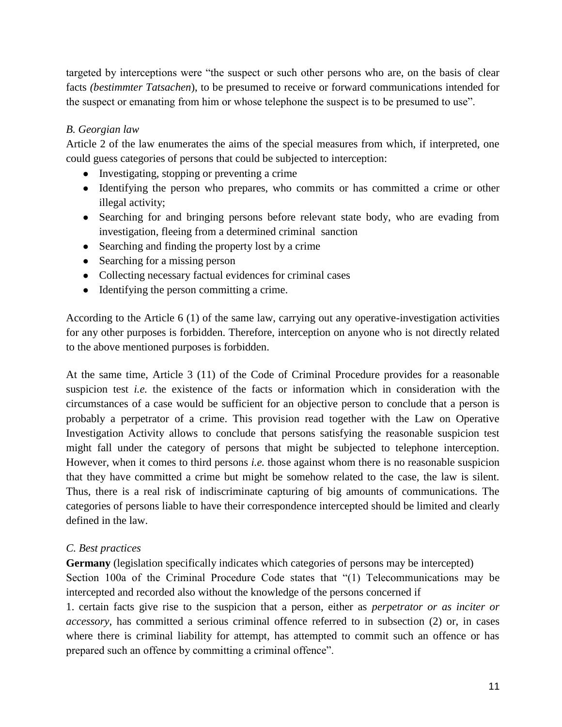targeted by interceptions were "the suspect or such other persons who are, on the basis of clear facts *(bestimmter Tatsachen*), to be presumed to receive or forward communications intended for the suspect or emanating from him or whose telephone the suspect is to be presumed to use".

## *B. Georgian law*

Article 2 of the law enumerates the aims of the special measures from which, if interpreted, one could guess categories of persons that could be subjected to interception:

- Investigating, stopping or preventing a crime
- Identifying the person who prepares, who commits or has committed a crime or other illegal activity;
- Searching for and bringing persons before relevant state body, who are evading from investigation, fleeing from a determined criminal sanction
- Searching and finding the property lost by a crime
- Searching for a missing person
- Collecting necessary factual evidences for criminal cases
- Identifying the person committing a crime.

According to the Article 6 (1) of the same law, carrying out any operative-investigation activities for any other purposes is forbidden. Therefore, interception on anyone who is not directly related to the above mentioned purposes is forbidden.

At the same time, Article 3 (11) of the Code of Criminal Procedure provides for a reasonable suspicion test *i.e.* the existence of the facts or information which in consideration with the circumstances of a case would be sufficient for an objective person to conclude that a person is probably a perpetrator of a crime. This provision read together with the Law on Operative Investigation Activity allows to conclude that persons satisfying the reasonable suspicion test might fall under the category of persons that might be subjected to telephone interception. However, when it comes to third persons *i.e.* those against whom there is no reasonable suspicion that they have committed a crime but might be somehow related to the case, the law is silent. Thus, there is a real risk of indiscriminate capturing of big amounts of communications. The categories of persons liable to have their correspondence intercepted should be limited and clearly defined in the law.

## *C. Best practices*

**Germany** (legislation specifically indicates which categories of persons may be intercepted) Section 100a of the Criminal Procedure Code states that "(1) Telecommunications may be intercepted and recorded also without the knowledge of the persons concerned if

1. certain facts give rise to the suspicion that a person, either as *perpetrator or as inciter or accessory*, has committed a serious criminal offence referred to in subsection (2) or, in cases where there is criminal liability for attempt, has attempted to commit such an offence or has prepared such an offence by committing a criminal offence".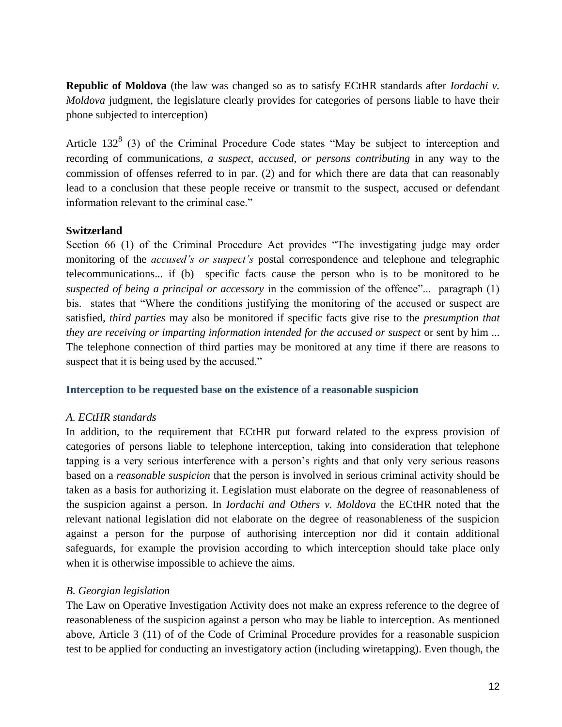**Republic of Moldova** (the law was changed so as to satisfy ECtHR standards after *Iordachi v. Moldova* judgment, the legislature clearly provides for categories of persons liable to have their phone subjected to interception)

Article 132 $<sup>8</sup>$  (3) of the Criminal Procedure Code states "May be subject to interception and</sup> recording of communications, *a suspect, accused, or persons contributing* in any way to the commission of offenses referred to in par. (2) and for which there are data that can reasonably lead to a conclusion that these people receive or transmit to the suspect, accused or defendant information relevant to the criminal case."

## **Switzerland**

Section 66 (1) of the Criminal Procedure Act provides "The investigating judge may order monitoring of the *accused's or suspect's* postal correspondence and telephone and telegraphic telecommunications... if (b) specific facts cause the person who is to be monitored to be *suspected of being a principal or accessory* in the commission of the offence"... paragraph (1) bis. states that "Where the conditions justifying the monitoring of the accused or suspect are satisfied, *third parties* may also be monitored if specific facts give rise to the *presumption that they are receiving or imparting information intended for the accused or suspect* or sent by him ... The telephone connection of third parties may be monitored at any time if there are reasons to suspect that it is being used by the accused."

#### **Interception to be requested base on the existence of a reasonable suspicion**

#### *A. ECtHR standards*

In addition, to the requirement that ECtHR put forward related to the express provision of categories of persons liable to telephone interception, taking into consideration that telephone tapping is a very serious interference with a person's rights and that only very serious reasons based on a *reasonable suspicion* that the person is involved in serious criminal activity should be taken as a basis for authorizing it. Legislation must elaborate on the degree of reasonableness of the suspicion against a person. In *Iordachi and Others v. Moldova* the ECtHR noted that the relevant national legislation did not elaborate on the degree of reasonableness of the suspicion against a person for the purpose of authorising interception nor did it contain additional safeguards, for example the provision according to which interception should take place only when it is otherwise impossible to achieve the aims.

## *B. Georgian legislation*

The Law on Operative Investigation Activity does not make an express reference to the degree of reasonableness of the suspicion against a person who may be liable to interception. As mentioned above, Article 3 (11) of of the Code of Criminal Procedure provides for a reasonable suspicion test to be applied for conducting an investigatory action (including wiretapping). Even though, the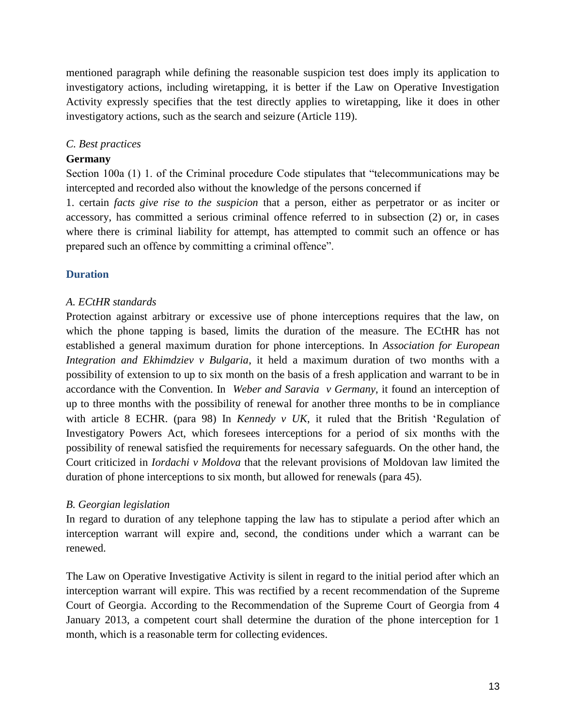mentioned paragraph while defining the reasonable suspicion test does imply its application to investigatory actions, including wiretapping, it is better if the Law on Operative Investigation Activity expressly specifies that the test directly applies to wiretapping, like it does in other investigatory actions, such as the search and seizure (Article 119).

## *C. Best practices*

### **Germany**

Section 100a (1) 1. of the Criminal procedure Code stipulates that "telecommunications may be intercepted and recorded also without the knowledge of the persons concerned if

1. certain *facts give rise to the suspicion* that a person, either as perpetrator or as inciter or accessory, has committed a serious criminal offence referred to in subsection (2) or, in cases where there is criminal liability for attempt, has attempted to commit such an offence or has prepared such an offence by committing a criminal offence".

## **Duration**

#### *A. ECtHR standards*

Protection against arbitrary or excessive use of phone interceptions requires that the law, on which the phone tapping is based, limits the duration of the measure. The ECtHR has not established a general maximum duration for phone interceptions. In *[Association for European](http://hudoc.echr.coe.int/sites/eng/pages/search.aspx?i=001-81323)  Integration and Ekhimdziev v Bulgaria*, it held a maximum duration of two months with a possibility of extension to up to six month on the basis of a fresh application and warrant to be in accordance with the Convention. In *[Weber and Saravia v Germany](http://hudoc.echr.coe.int/sites/eng/pages/search.aspx?i=001-76586)*, it found an interception of up to three months with the possibility of renewal for another three months to be in compliance with article 8 ECHR. (para 98) In *[Kennedy v UK](http://hudoc.echr.coe.int/sites/eng/pages/search.aspx?i=001-98473)*, it ruled that the British 'Regulation of Investigatory Powers Act, which foresees interceptions for a period of six months with the possibility of renewal satisfied the requirements for necessary safeguards. On the other hand, the Court criticized in *Iordachi v Moldova* that the relevant provisions of Moldovan law limited the duration of phone interceptions to six month, but allowed for renewals (para 45).

#### *B. Georgian legislation*

In regard to duration of any telephone tapping the law has to stipulate a period after which an interception warrant will expire and, second, the conditions under which a warrant can be renewed.

The Law on Operative Investigative Activity is silent in regard to the initial period after which an interception warrant will expire. This was rectified by a recent recommendation of the Supreme Court of Georgia. According to the Recommendation of the Supreme Court of Georgia from 4 January 2013, a competent court shall determine the duration of the phone interception for 1 month, which is a reasonable term for collecting evidences.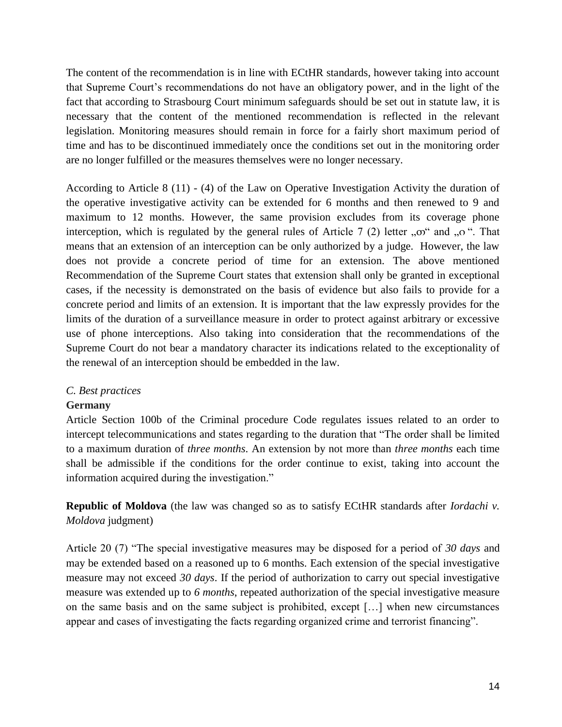The content of the recommendation is in line with ECtHR standards, however taking into account that Supreme Court's recommendations do not have an obligatory power, and in the light of the fact that according to Strasbourg Court minimum safeguards should be set out in statute law, it is necessary that the content of the mentioned recommendation is reflected in the relevant legislation. Monitoring measures should remain in force for a fairly short maximum period of time and has to be discontinued immediately once the conditions set out in the monitoring order are no longer fulfilled or the measures themselves were no longer necessary.

According to Article 8 (11) - (4) of the Law on Operative Investigation Activity the duration of the operative investigative activity can be extended for 6 months and then renewed to 9 and maximum to 12 months. However, the same provision excludes from its coverage phone interception, which is regulated by the general rules of Article 7 (2) letter  $, \infty$  and  $, \infty$  ". That means that an extension of an interception can be only authorized by a judge. However, the law does not provide a concrete period of time for an extension. The above mentioned Recommendation of the Supreme Court states that extension shall only be granted in exceptional cases, if the necessity is demonstrated on the basis of evidence but also fails to provide for a concrete period and limits of an extension. It is important that the law expressly provides for the limits of the duration of a surveillance measure in order to protect against arbitrary or excessive use of phone interceptions. Also taking into consideration that the recommendations of the Supreme Court do not bear a mandatory character its indications related to the exceptionality of the renewal of an interception should be embedded in the law.

#### *C. Best practices*

#### **Germany**

Article Section 100b of the Criminal procedure Code regulates issues related to an order to intercept telecommunications and states regarding to the duration that "The order shall be limited to a maximum duration of *three months*. An extension by not more than *three months* each time shall be admissible if the conditions for the order continue to exist, taking into account the information acquired during the investigation."

**Republic of Moldova** (the law was changed so as to satisfy ECtHR standards after *Iordachi v. Moldova* judgment)

Article 20 (7) "The special investigative measures may be disposed for a period of *30 days* and may be extended based on a reasoned up to 6 months. Each extension of the special investigative measure may not exceed *30 days*. If the period of authorization to carry out special investigative measure was extended up to *6 months*, repeated authorization of the special investigative measure on the same basis and on the same subject is prohibited, except […] when new circumstances appear and cases of investigating the facts regarding organized crime and terrorist financing".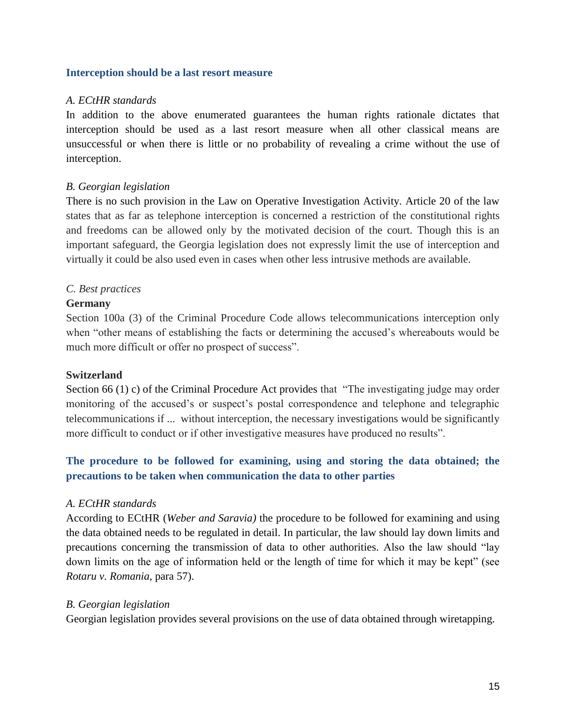#### **Interception should be a last resort measure**

#### *A. ECtHR standards*

In addition to the above enumerated guarantees the human rights rationale dictates that interception should be used as a last resort measure when all other classical means are unsuccessful or when there is little or no probability of revealing a crime without the use of interception.

## *B. Georgian legislation*

There is no such provision in the Law on Operative Investigation Activity. Article 20 of the law states that as far as telephone interception is concerned a restriction of the constitutional rights and freedoms can be allowed only by the motivated decision of the court. Though this is an important safeguard, the Georgia legislation does not expressly limit the use of interception and virtually it could be also used even in cases when other less intrusive methods are available.

#### *C. Best practices*

#### **Germany**

Section 100a (3) of the Criminal Procedure Code allows telecommunications interception only when "other means of establishing the facts or determining the accused's whereabouts would be much more difficult or offer no prospect of success".

#### **Switzerland**

Section 66 (1) c) of the Criminal Procedure Act provides that "The investigating judge may order monitoring of the accused's or suspect's postal correspondence and telephone and telegraphic telecommunications if ... without interception, the necessary investigations would be significantly more difficult to conduct or if other investigative measures have produced no results".

## **The procedure to be followed for examining, using and storing the data obtained; the precautions to be taken when communication the data to other parties**

#### *A. ECtHR standards*

According to ECtHR (*Weber and Saravia)* the procedure to be followed for examining and using the data obtained needs to be regulated in detail. In particular, the law should lay down limits and precautions concerning the transmission of data to other authorities. Also the law should "lay down limits on the age of information held or the length of time for which it may be kept" (see *Rotaru v. Romania,* para 57).

#### *B. Georgian legislation*

Georgian legislation provides several provisions on the use of data obtained through wiretapping.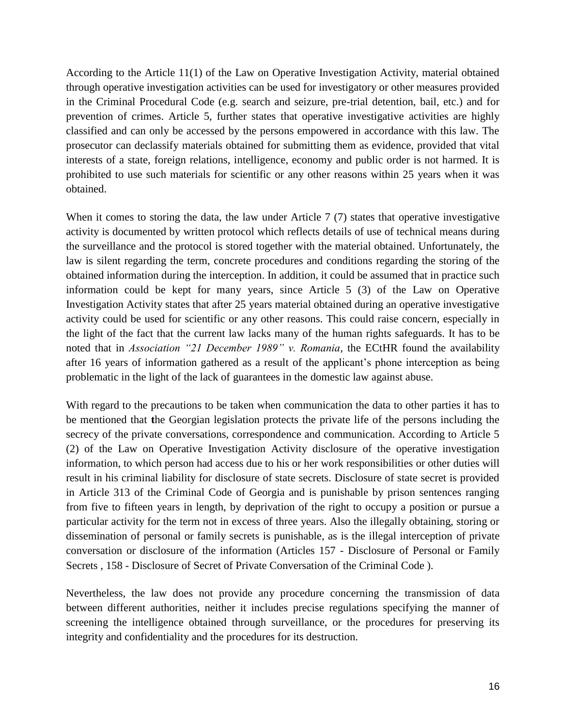According to the Article 11(1) of the Law on Operative Investigation Activity, material obtained through operative investigation activities can be used for investigatory or other measures provided in the Criminal Procedural Code (e.g. search and seizure, pre-trial detention, bail, etc.) and for prevention of crimes. Article 5, further states that operative investigative activities are highly classified and can only be accessed by the persons empowered in accordance with this law. The prosecutor can declassify materials obtained for submitting them as evidence, provided that vital interests of a state, foreign relations, intelligence, economy and public order is not harmed. It is prohibited to use such materials for scientific or any other reasons within 25 years when it was obtained.

When it comes to storing the data, the law under Article 7 (7) states that operative investigative activity is documented by written protocol which reflects details of use of technical means during the surveillance and the protocol is stored together with the material obtained. Unfortunately, the law is silent regarding the term, concrete procedures and conditions regarding the storing of the obtained information during the interception. In addition, it could be assumed that in practice such information could be kept for many years, since Article 5 (3) of the Law on Operative Investigation Activity states that after 25 years material obtained during an operative investigative activity could be used for scientific or any other reasons. This could raise concern, especially in the light of the fact that the current law lacks many of the human rights safeguards. It has to be noted that in *Association "21 December 1989" v. Romania*, the ECtHR found the availability after 16 years of information gathered as a result of the applicant's phone interception as being problematic in the light of the lack of guarantees in the domestic law against abuse.

With regard to the precautions to be taken when communication the data to other parties it has to be mentioned that **t**he Georgian legislation protects the private life of the persons including the secrecy of the private conversations, correspondence and communication. According to Article 5 (2) of the Law on Operative Investigation Activity disclosure of the operative investigation information, to which person had access due to his or her work responsibilities or other duties will result in his criminal liability for disclosure of state secrets. Disclosure of state secret is provided in Article 313 of the Criminal Code of Georgia and is punishable by prison sentences ranging from five to fifteen years in length, by deprivation of the right to occupy a position or pursue a particular activity for the term not in excess of three years. Also the illegally obtaining, storing or dissemination of personal or family secrets is punishable, as is the illegal interception of private conversation or disclosure of the information (Articles 157 - Disclosure of Personal or Family Secrets , 158 - Disclosure of Secret of Private Conversation of the Criminal Code ).

Nevertheless, the law does not provide any procedure concerning the transmission of data between different authorities, neither it includes precise regulations specifying the manner of screening the intelligence obtained through surveillance, or the procedures for preserving its integrity and confidentiality and the procedures for its destruction.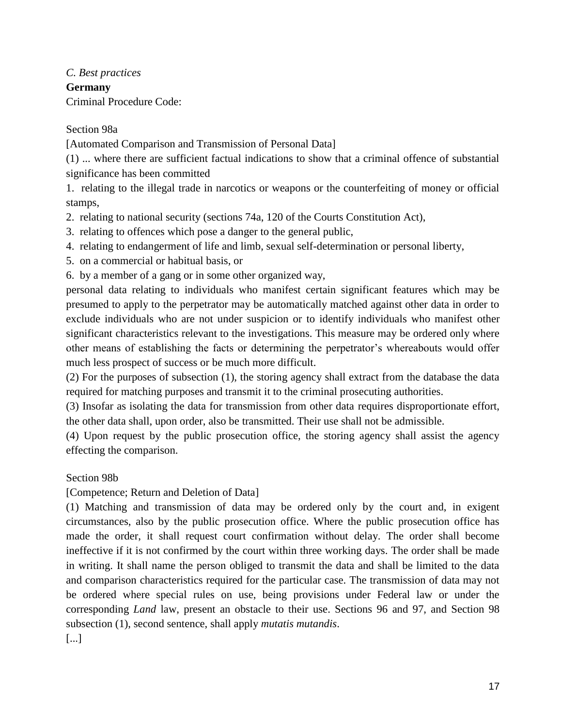*C. Best practices* **Germany** Criminal Procedure Code:

## Section 98a

[Automated Comparison and Transmission of Personal Data]

(1) ... where there are sufficient factual indications to show that a criminal offence of substantial significance has been committed

1. relating to the illegal trade in narcotics or weapons or the counterfeiting of money or official stamps,

2. relating to national security (sections 74a, 120 of the Courts Constitution Act),

3. relating to offences which pose a danger to the general public,

4. relating to endangerment of life and limb, sexual self-determination or personal liberty,

5. on a commercial or habitual basis, or

6. by a member of a gang or in some other organized way,

personal data relating to individuals who manifest certain significant features which may be presumed to apply to the perpetrator may be automatically matched against other data in order to exclude individuals who are not under suspicion or to identify individuals who manifest other significant characteristics relevant to the investigations. This measure may be ordered only where other means of establishing the facts or determining the perpetrator's whereabouts would offer much less prospect of success or be much more difficult.

(2) For the purposes of subsection (1), the storing agency shall extract from the database the data required for matching purposes and transmit it to the criminal prosecuting authorities.

(3) Insofar as isolating the data for transmission from other data requires disproportionate effort, the other data shall, upon order, also be transmitted. Their use shall not be admissible.

(4) Upon request by the public prosecution office, the storing agency shall assist the agency effecting the comparison.

## Section 98b

[Competence; Return and Deletion of Data]

(1) Matching and transmission of data may be ordered only by the court and, in exigent circumstances, also by the public prosecution office. Where the public prosecution office has made the order, it shall request court confirmation without delay. The order shall become ineffective if it is not confirmed by the court within three working days. The order shall be made in writing. It shall name the person obliged to transmit the data and shall be limited to the data and comparison characteristics required for the particular case. The transmission of data may not be ordered where special rules on use, being provisions under Federal law or under the corresponding *Land* law, present an obstacle to their use. Sections 96 and 97, and Section 98 subsection (1), second sentence, shall apply *mutatis mutandis*.

[...]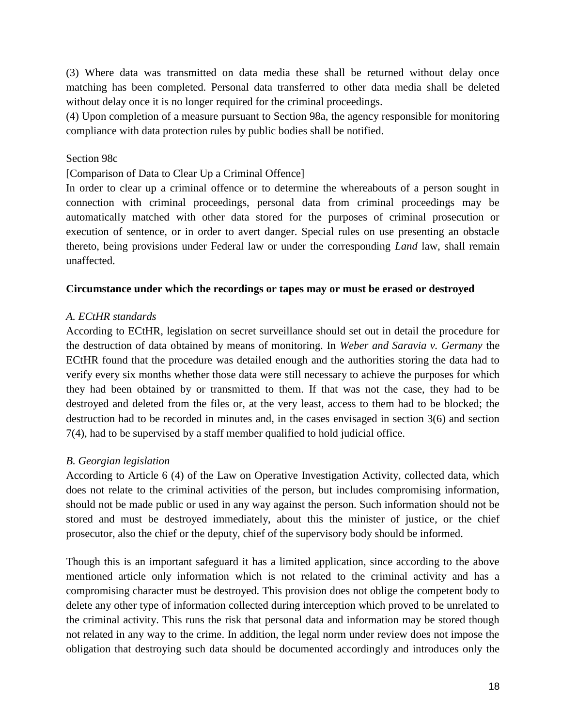(3) Where data was transmitted on data media these shall be returned without delay once matching has been completed. Personal data transferred to other data media shall be deleted without delay once it is no longer required for the criminal proceedings.

(4) Upon completion of a measure pursuant to Section 98a, the agency responsible for monitoring compliance with data protection rules by public bodies shall be notified.

## Section 98c

[Comparison of Data to Clear Up a Criminal Offence]

In order to clear up a criminal offence or to determine the whereabouts of a person sought in connection with criminal proceedings, personal data from criminal proceedings may be automatically matched with other data stored for the purposes of criminal prosecution or execution of sentence, or in order to avert danger. Special rules on use presenting an obstacle thereto, being provisions under Federal law or under the corresponding *Land* law, shall remain unaffected.

#### **Circumstance under which the recordings or tapes may or must be erased or destroyed**

## *A. ECtHR standards*

According to ECtHR, legislation on secret surveillance should set out in detail the procedure for the destruction of data obtained by means of monitoring. In *Weber and Saravia v. Germany* the ECtHR found that the procedure was detailed enough and the authorities storing the data had to verify every six months whether those data were still necessary to achieve the purposes for which they had been obtained by or transmitted to them. If that was not the case, they had to be destroyed and deleted from the files or, at the very least, access to them had to be blocked; the destruction had to be recorded in minutes and, in the cases envisaged in section 3(6) and section 7(4), had to be supervised by a staff member qualified to hold judicial office.

#### *B. Georgian legislation*

According to Article 6 (4) of the Law on Operative Investigation Activity, collected data, which does not relate to the criminal activities of the person, but includes compromising information, should not be made public or used in any way against the person. Such information should not be stored and must be destroyed immediately, about this the minister of justice, or the chief prosecutor, also the chief or the deputy, chief of the supervisory body should be informed.

Though this is an important safeguard it has a limited application, since according to the above mentioned article only information which is not related to the criminal activity and has a compromising character must be destroyed. This provision does not oblige the competent body to delete any other type of information collected during interception which proved to be unrelated to the criminal activity. This runs the risk that personal data and information may be stored though not related in any way to the crime. In addition, the legal norm under review does not impose the obligation that destroying such data should be documented accordingly and introduces only the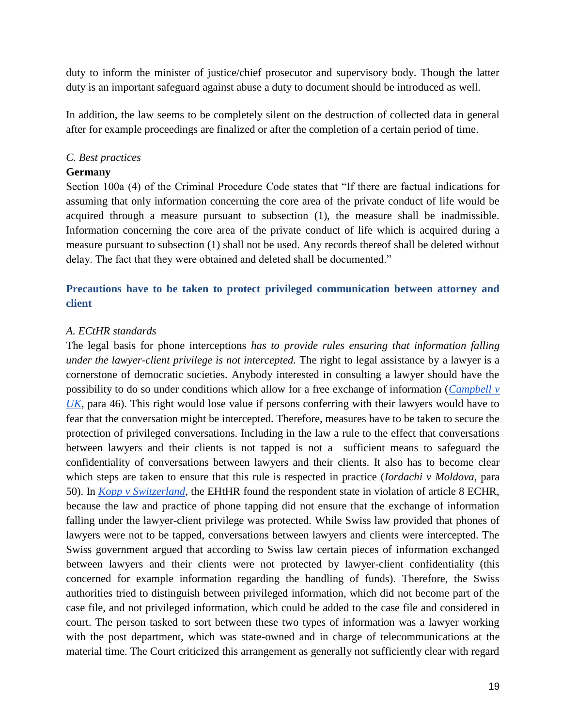duty to inform the minister of justice/chief prosecutor and supervisory body. Though the latter duty is an important safeguard against abuse a duty to document should be introduced as well.

In addition, the law seems to be completely silent on the destruction of collected data in general after for example proceedings are finalized or after the completion of a certain period of time.

## *C. Best practices*

## **Germany**

Section 100a (4) of the Criminal Procedure Code states that "If there are factual indications for assuming that only information concerning the core area of the private conduct of life would be acquired through a measure pursuant to subsection (1), the measure shall be inadmissible. Information concerning the core area of the private conduct of life which is acquired during a measure pursuant to subsection (1) shall not be used. Any records thereof shall be deleted without delay. The fact that they were obtained and deleted shall be documented."

## **Precautions have to be taken to protect privileged communication between attorney and client**

## *A. ECtHR standards*

The legal basis for phone interceptions *has to provide rules ensuring that information falling under the lawyer-client privilege is not intercepted.* The right to legal assistance by a lawyer is a cornerstone of democratic societies. Anybody interested in consulting a lawyer should have the possibility to do so under conditions which allow for a free exchange of information (*[Campbell v](http://hudoc.echr.coe.int/sites/eng/pages/search.aspx?i=001-57771)  [UK](http://hudoc.echr.coe.int/sites/eng/pages/search.aspx?i=001-57771)*, para 46). This right would lose value if persons conferring with their lawyers would have to fear that the conversation might be intercepted. Therefore, measures have to be taken to secure the protection of privileged conversations. Including in the law a rule to the effect that conversations between lawyers and their clients is not tapped is not a sufficient means to safeguard the confidentiality of conversations between lawyers and their clients. It also has to become clear which steps are taken to ensure that this rule is respected in practice (*Iordachi v Moldova*, para 50). In *[Kopp v Switzerland](http://hudoc.echr.coe.int/sites/eng/pages/search.aspx?i=001-58144)*, the EHtHR found the respondent state in violation of article 8 ECHR, because the law and practice of phone tapping did not ensure that the exchange of information falling under the lawyer-client privilege was protected. While Swiss law provided that phones of lawyers were not to be tapped, conversations between lawyers and clients were intercepted. The Swiss government argued that according to Swiss law certain pieces of information exchanged between lawyers and their clients were not protected by lawyer-client confidentiality (this concerned for example information regarding the handling of funds). Therefore, the Swiss authorities tried to distinguish between privileged information, which did not become part of the case file, and not privileged information, which could be added to the case file and considered in court. The person tasked to sort between these two types of information was a lawyer working with the post department, which was state-owned and in charge of telecommunications at the material time. The Court criticized this arrangement as generally not sufficiently clear with regard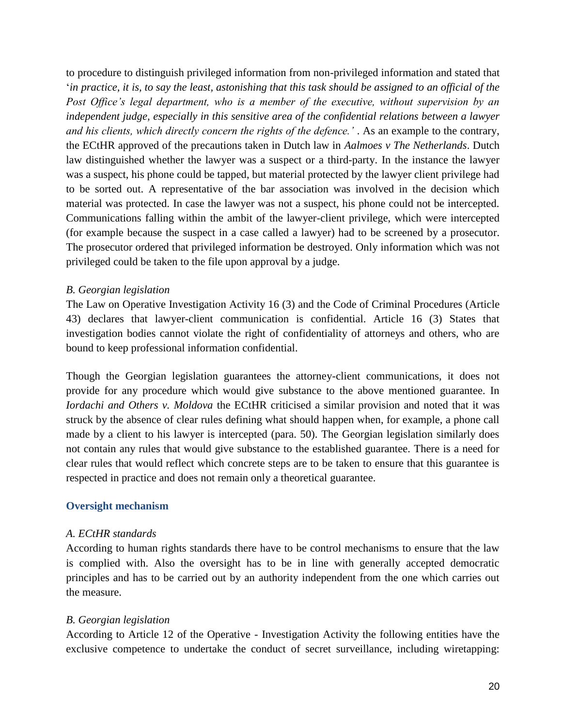to procedure to distinguish privileged information from non-privileged information and stated that '*in practice, it is, to say the least, astonishing that this task should be assigned to an official of the Post Office's legal department, who is a member of the executive, without supervision by an independent judge, especially in this sensitive area of the confidential relations between a lawyer and his clients, which directly concern the rights of the defence.'* . As an example to the contrary, the ECtHR approved of the precautions taken in Dutch law in *Aalmoes v The Netherlands*. Dutch law distinguished whether the lawyer was a suspect or a third-party. In the instance the lawyer was a suspect, his phone could be tapped, but material protected by the lawyer client privilege had to be sorted out. A representative of the bar association was involved in the decision which material was protected. In case the lawyer was not a suspect, his phone could not be intercepted. Communications falling within the ambit of the lawyer-client privilege, which were intercepted (for example because the suspect in a case called a lawyer) had to be screened by a prosecutor. The prosecutor ordered that privileged information be destroyed. Only information which was not privileged could be taken to the file upon approval by a judge.

## *B. Georgian legislation*

The Law on Operative Investigation Activity 16 (3) and the Code of Criminal Procedures (Article 43) declares that lawyer-client communication is confidential. Article 16 (3) States that investigation bodies cannot violate the right of confidentiality of attorneys and others, who are bound to keep professional information confidential.

Though the Georgian legislation guarantees the attorney-client communications, it does not provide for any procedure which would give substance to the above mentioned guarantee. In *Iordachi and Others v. Moldova* the ECtHR criticised a similar provision and noted that it was struck by the absence of clear rules defining what should happen when, for example, a phone call made by a client to his lawyer is intercepted (para. 50). The Georgian legislation similarly does not contain any rules that would give substance to the established guarantee. There is a need for clear rules that would reflect which concrete steps are to be taken to ensure that this guarantee is respected in practice and does not remain only a theoretical guarantee.

#### **Oversight mechanism**

#### *A. ECtHR standards*

According to human rights standards there have to be control mechanisms to ensure that the law is complied with. Also the oversight has to be in line with generally accepted democratic principles and has to be carried out by an authority independent from the one which carries out the measure.

## *B. Georgian legislation*

According to Article 12 of the Operative - Investigation Activity the following entities have the exclusive competence to undertake the conduct of secret surveillance, including wiretapping: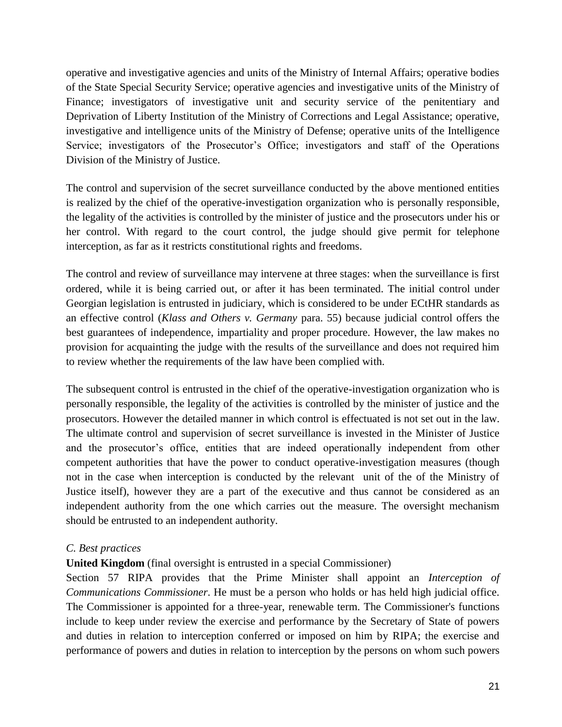operative and investigative agencies and units of the Ministry of Internal Affairs; operative bodies of the State Special Security Service; operative agencies and investigative units of the Ministry of Finance; investigators of investigative unit and security service of the penitentiary and Deprivation of Liberty Institution of the Ministry of Corrections and Legal Assistance; operative, investigative and intelligence units of the Ministry of Defense; operative units of the Intelligence Service; investigators of the Prosecutor's Office; investigators and staff of the Operations Division of the Ministry of Justice.

The control and supervision of the secret surveillance conducted by the above mentioned entities is realized by the chief of the operative-investigation organization who is personally responsible, the legality of the activities is controlled by the minister of justice and the prosecutors under his or her control. With regard to the court control, the judge should give permit for telephone interception, as far as it restricts constitutional rights and freedoms.

The control and review of surveillance may intervene at three stages: when the surveillance is first ordered, while it is being carried out, or after it has been terminated. The initial control under Georgian legislation is entrusted in judiciary, which is considered to be under ECtHR standards as an effective control (*Klass and Others v. Germany* para. 55) because judicial control offers the best guarantees of independence, impartiality and proper procedure. However, the law makes no provision for acquainting the judge with the results of the surveillance and does not required him to review whether the requirements of the law have been complied with.

The subsequent control is entrusted in the chief of the operative-investigation organization who is personally responsible, the legality of the activities is controlled by the minister of justice and the prosecutors. However the detailed manner in which control is effectuated is not set out in the law. The ultimate control and supervision of secret surveillance is invested in the Minister of Justice and the prosecutor's office, entities that are indeed operationally independent from other competent authorities that have the power to conduct operative-investigation measures (though not in the case when interception is conducted by the relevant unit of the of the Ministry of Justice itself), however they are a part of the executive and thus cannot be considered as an independent authority from the one which carries out the measure. The oversight mechanism should be entrusted to an independent authority.

## *C. Best practices*

## **United Kingdom** (final oversight is entrusted in a special Commissioner)

Section 57 RIPA provides that the Prime Minister shall appoint an *Interception of Communications Commissioner*. He must be a person who holds or has held high judicial office. The Commissioner is appointed for a three-year, renewable term. The Commissioner's functions include to keep under review the exercise and performance by the Secretary of State of powers and duties in relation to interception conferred or imposed on him by RIPA; the exercise and performance of powers and duties in relation to interception by the persons on whom such powers